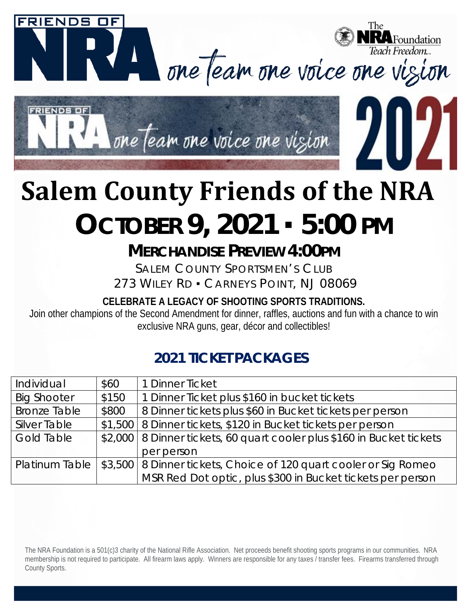

## **Salem County Friends of the NRA OCTOBER 9, 2021** ▪ **5:00 PM**

## **MERCHANDISE PREVIEW 4:00PM**

SALEM COUNTY SPORTSMEN'S CLUB 273 WILEY RD . CARNEYS POINT, NJ 08069

**CELEBRATE A LEGACY OF SHOOTING SPORTS TRADITIONS.**

Join other champions of the Second Amendment for dinner, raffles, auctions and fun with a chance to win exclusive NRA guns, gear, décor and collectibles!

## **2021 TICKET PACKAGES**

| Individual          | \$60  | 1 Dinner Ticket                                                                      |
|---------------------|-------|--------------------------------------------------------------------------------------|
| <b>Big Shooter</b>  | \$150 | 1 Dinner Ticket plus \$160 in bucket tickets                                         |
| <b>Bronze Table</b> | \$800 | 8 Dinner tickets plus \$60 in Bucket tickets per person                              |
| <b>Silver Table</b> |       | \$1,500   8 Dinner tickets, \$120 in Bucket tickets per person                       |
| <b>Gold Table</b>   |       | \$2,000   8 Dinner tickets, 60 quart cooler plus \$160 in Bucket tickets             |
|                     |       | per person                                                                           |
|                     |       | Platinum Table   \$3,500   8 Dinner tickets, Choice of 120 quart cooler or Sig Romeo |
|                     |       | MSR Red Dot optic, plus \$300 in Bucket tickets per person                           |

The NRA Foundation is a 501(c)3 charity of the National Rifle Association. Net proceeds benefit shooting sports programs in our communities. NRA membership is not required to participate. All firearm laws apply. Winners are responsible for any taxes / transfer fees. Firearms transferred through County Sports.